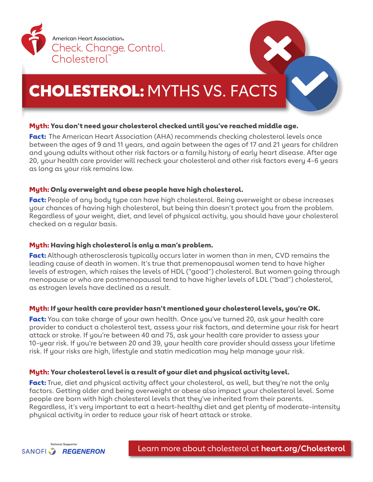

# CHOLESTEROL: MYTHS VS. FACTS

### Myth: You don't need your cholesterol checked until you've reached middle age.

**Fact:** The American Heart Association (AHA) recommends checking cholesterol levels once between the ages of 9 and 11 years, and again between the ages of 17 and 21 years for children and young adults without other risk factors or a family history of early heart disease. After age 20, your health care provider will recheck your cholesterol and other risk factors every 4-6 years as long as your risk remains low.

### Myth: Only overweight and obese people have high cholesterol.

Fact: People of any body type can have high cholesterol. Being overweight or obese increases your chances of having high cholesterol, but being thin doesn't protect you from the problem. Regardless of your weight, diet, and level of physical activity, you should have your cholesterol checked on a regular basis.

### Myth: Having high cholesterol is only a man's problem.

Fact: Although atherosclerosis typically occurs later in women than in men, CVD remains the leading cause of death in women. It's true that premenopausal women tend to have higher levels of estrogen, which raises the levels of HDL ("good") cholesterol. But women going through menopause or who are postmenopausal tend to have higher levels of LDL ("bad") cholesterol, as estrogen levels have declined as a result.

## Myth: If your health care provider hasn't mentioned your cholesterol levels, you're OK.

Fact: You can take charge of your own health. Once you've turned 20, ask your health care provider to conduct a cholesterol test, assess your risk factors, and determine your risk for heart attack or stroke. If you're between 40 and 75, ask your health care provider to assess your 10-year risk. If you're between 20 and 39, your health care provider should assess your lifetime risk. If your risks are high, lifestyle and statin medication may help manage your risk.

### Myth: Your cholesterol level is a result of your diet and physical activity level.

Fact: True, diet and physical activity affect your cholesterol, as well, but they're not the only factors. Getting older and being overweight or obese also impact your cholesterol level. Some people are born with high cholesterol levels that they've inherited from their parents. Regardless, it's very important to eat a heart-healthy diet and get plenty of moderate-intensity physical activity in order to reduce your risk of heart attack or stroke.